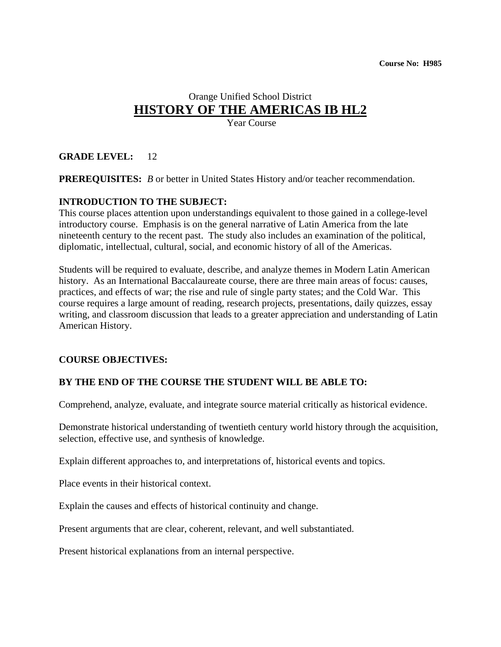# Orange Unified School District **HISTORY OF THE AMERICAS IB HL2**

Year Course

# **GRADE LEVEL:** 12

**PREREQUISITES:** *B* or better in United States History and/or teacher recommendation.

# **INTRODUCTION TO THE SUBJECT:**

This course places attention upon understandings equivalent to those gained in a college-level introductory course. Emphasis is on the general narrative of Latin America from the late nineteenth century to the recent past. The study also includes an examination of the political, diplomatic, intellectual, cultural, social, and economic history of all of the Americas.

Students will be required to evaluate, describe, and analyze themes in Modern Latin American history. As an International Baccalaureate course, there are three main areas of focus: causes, practices, and effects of war; the rise and rule of single party states; and the Cold War. This course requires a large amount of reading, research projects, presentations, daily quizzes, essay writing, and classroom discussion that leads to a greater appreciation and understanding of Latin American History.

#### **COURSE OBJECTIVES:**

# **BY THE END OF THE COURSE THE STUDENT WILL BE ABLE TO:**

Comprehend, analyze, evaluate, and integrate source material critically as historical evidence.

Demonstrate historical understanding of twentieth century world history through the acquisition, selection, effective use, and synthesis of knowledge.

Explain different approaches to, and interpretations of, historical events and topics.

Place events in their historical context.

Explain the causes and effects of historical continuity and change.

Present arguments that are clear, coherent, relevant, and well substantiated.

Present historical explanations from an internal perspective.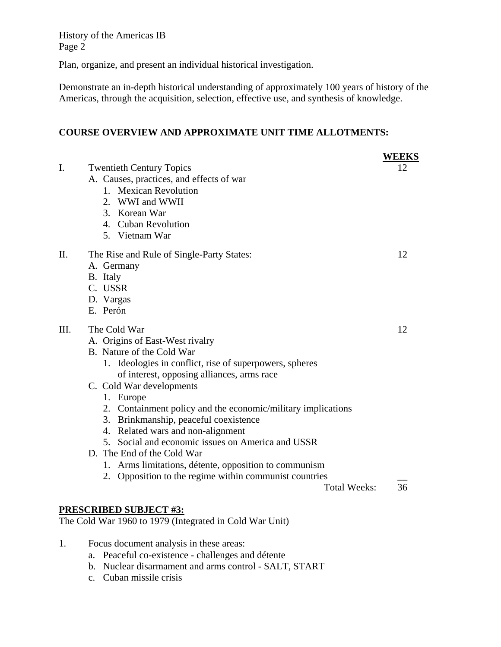Plan, organize, and present an individual historical investigation.

Demonstrate an in-depth historical understanding of approximately 100 years of history of the Americas, through the acquisition, selection, effective use, and synthesis of knowledge.

# **COURSE OVERVIEW AND APPROXIMATE UNIT TIME ALLOTMENTS:**

|      |                                                                                                                                                                                                                                                                                                                                                                                                                                                                                                                                                                                                           | <b>WEEKS</b> |
|------|-----------------------------------------------------------------------------------------------------------------------------------------------------------------------------------------------------------------------------------------------------------------------------------------------------------------------------------------------------------------------------------------------------------------------------------------------------------------------------------------------------------------------------------------------------------------------------------------------------------|--------------|
| I.   | <b>Twentieth Century Topics</b><br>A. Causes, practices, and effects of war<br>1. Mexican Revolution<br>2. WWI and WWII<br>3. Korean War<br>4. Cuban Revolution<br>5. Vietnam War                                                                                                                                                                                                                                                                                                                                                                                                                         | 12           |
| Π.   | The Rise and Rule of Single-Party States:<br>A. Germany<br>B. Italy<br>C. USSR<br>D. Vargas<br>E. Perón                                                                                                                                                                                                                                                                                                                                                                                                                                                                                                   | 12           |
| III. | The Cold War<br>A. Origins of East-West rivalry<br>B. Nature of the Cold War<br>1. Ideologies in conflict, rise of superpowers, spheres<br>of interest, opposing alliances, arms race<br>C. Cold War developments<br>1. Europe<br>2. Containment policy and the economic/military implications<br>3. Brinkmanship, peaceful coexistence<br>4. Related wars and non-alignment<br>5. Social and economic issues on America and USSR<br>D. The End of the Cold War<br>1. Arms limitations, détente, opposition to communism<br>2. Opposition to the regime within communist countries<br><b>Total Weeks:</b> | 12<br>36     |
|      |                                                                                                                                                                                                                                                                                                                                                                                                                                                                                                                                                                                                           |              |
|      | <b>PRESCRIBED SUBJECT #3:</b><br>The Cold War 1960 to 1979 (Integrated in Cold War Unit)                                                                                                                                                                                                                                                                                                                                                                                                                                                                                                                  |              |
| 1.   | Focus document analysis in these areas:                                                                                                                                                                                                                                                                                                                                                                                                                                                                                                                                                                   |              |

- a. Peaceful co-existence challenges and détente
	- b. Nuclear disarmament and arms control SALT, START
	-
	- c. Cuban missile crisis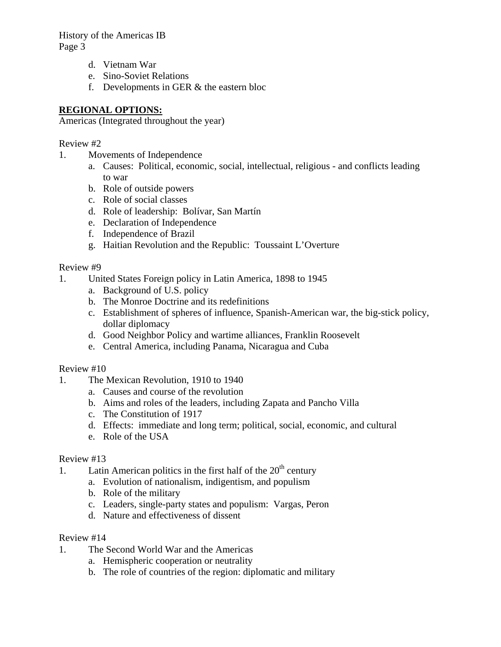- d. Vietnam War
- e. Sino-Soviet Relations
- f. Developments in GER & the eastern bloc

# **REGIONAL OPTIONS:**

Americas (Integrated throughout the year)

# Review #2

- 1. Movements of Independence
	- a. Causes: Political, economic, social, intellectual, religious and conflicts leading to war
	- b. Role of outside powers
	- c. Role of social classes
	- d. Role of leadership: Bolívar, San Martín
	- e. Declaration of Independence
	- f. Independence of Brazil
	- g. Haitian Revolution and the Republic: Toussaint L'Overture

# Review #9

- 1. United States Foreign policy in Latin America, 1898 to 1945
	- a. Background of U.S. policy
	- b. The Monroe Doctrine and its redefinitions
	- c. Establishment of spheres of influence, Spanish-American war, the big-stick policy, dollar diplomacy
	- d. Good Neighbor Policy and wartime alliances, Franklin Roosevelt
	- e. Central America, including Panama, Nicaragua and Cuba

# Review #10

- 1. The Mexican Revolution, 1910 to 1940
	- a. Causes and course of the revolution
	- b. Aims and roles of the leaders, including Zapata and Pancho Villa
	- c. The Constitution of 1917
	- d. Effects: immediate and long term; political, social, economic, and cultural
	- e. Role of the USA

# Review #13

- 1. Latin American politics in the first half of the  $20<sup>th</sup>$  century
	- a. Evolution of nationalism, indigentism, and populism
		- b. Role of the military
	- c. Leaders, single-party states and populism: Vargas, Peron
	- d. Nature and effectiveness of dissent

# Review #14

- 1. The Second World War and the Americas
	- a. Hemispheric cooperation or neutrality
	- b. The role of countries of the region: diplomatic and military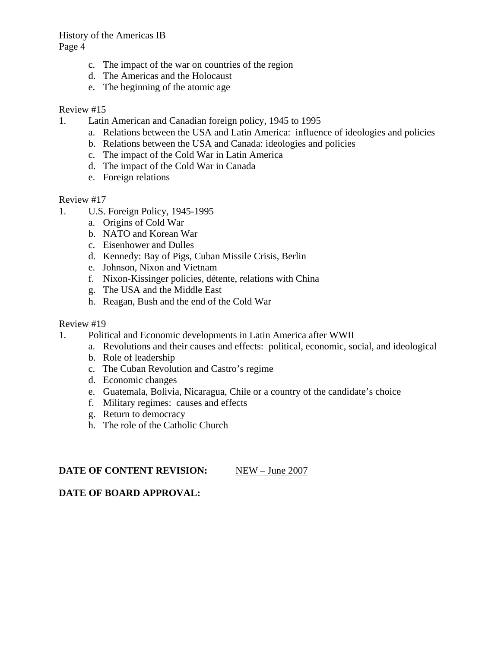- c. The impact of the war on countries of the region
- d. The Americas and the Holocaust
- e. The beginning of the atomic age

### Review #15

- 1. Latin American and Canadian foreign policy, 1945 to 1995
	- a. Relations between the USA and Latin America: influence of ideologies and policies
	- b. Relations between the USA and Canada: ideologies and policies
	- c. The impact of the Cold War in Latin America
	- d. The impact of the Cold War in Canada
	- e. Foreign relations

#### Review #17

- 1. U.S. Foreign Policy, 1945-1995
	- a. Origins of Cold War
	- b. NATO and Korean War
	- c. Eisenhower and Dulles
	- d. Kennedy: Bay of Pigs, Cuban Missile Crisis, Berlin
	- e. Johnson, Nixon and Vietnam
	- f. Nixon-Kissinger policies, détente, relations with China
	- g. The USA and the Middle East
	- h. Reagan, Bush and the end of the Cold War

#### Review #19

- 1. Political and Economic developments in Latin America after WWII
	- a. Revolutions and their causes and effects: political, economic, social, and ideological
	- b. Role of leadership
	- c. The Cuban Revolution and Castro's regime
	- d. Economic changes
	- e. Guatemala, Bolivia, Nicaragua, Chile or a country of the candidate's choice
	- f. Military regimes: causes and effects
	- g. Return to democracy
	- h. The role of the Catholic Church

#### **DATE OF CONTENT REVISION:** NEW – June 2007

#### **DATE OF BOARD APPROVAL:**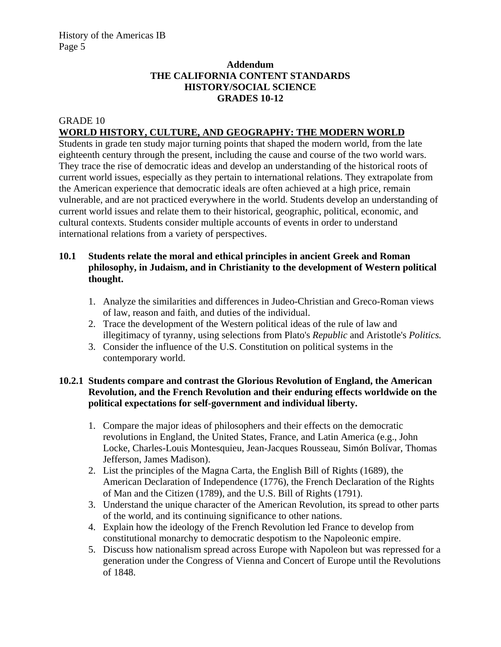# **Addendum THE CALIFORNIA CONTENT STANDARDS HISTORY/SOCIAL SCIENCE GRADES 10-12**

#### GRADE 10 **WORLD HISTORY, CULTURE, AND GEOGRAPHY: THE MODERN WORLD**

Students in grade ten study major turning points that shaped the modern world, from the late eighteenth century through the present, including the cause and course of the two world wars. They trace the rise of democratic ideas and develop an understanding of the historical roots of current world issues, especially as they pertain to international relations. They extrapolate from the American experience that democratic ideals are often achieved at a high price, remain vulnerable, and are not practiced everywhere in the world. Students develop an understanding of current world issues and relate them to their historical, geographic, political, economic, and cultural contexts. Students consider multiple accounts of events in order to understand international relations from a variety of perspectives.

### **10.1 Students relate the moral and ethical principles in ancient Greek and Roman philosophy, in Judaism, and in Christianity to the development of Western political thought.**

- 1. Analyze the similarities and differences in Judeo-Christian and Greco-Roman views of law, reason and faith, and duties of the individual.
- 2. Trace the development of the Western political ideas of the rule of law and illegitimacy of tyranny, using selections from Plato's *Republic* and Aristotle's *Politics.*
- 3. Consider the influence of the U.S. Constitution on political systems in the contemporary world.

### **10.2.1 Students compare and contrast the Glorious Revolution of England, the American Revolution, and the French Revolution and their enduring effects worldwide on the political expectations for self-government and individual liberty.**

- 1. Compare the major ideas of philosophers and their effects on the democratic revolutions in England, the United States, France, and Latin America (e.g., John Locke, Charles-Louis Montesquieu, Jean-Jacques Rousseau, Simón Bolívar, Thomas Jefferson, James Madison).
- 2. List the principles of the Magna Carta, the English Bill of Rights (1689), the American Declaration of Independence (1776), the French Declaration of the Rights of Man and the Citizen (1789), and the U.S. Bill of Rights (1791).
- 3. Understand the unique character of the American Revolution, its spread to other parts of the world, and its continuing significance to other nations.
- 4. Explain how the ideology of the French Revolution led France to develop from constitutional monarchy to democratic despotism to the Napoleonic empire.
- 5. Discuss how nationalism spread across Europe with Napoleon but was repressed for a generation under the Congress of Vienna and Concert of Europe until the Revolutions of 1848.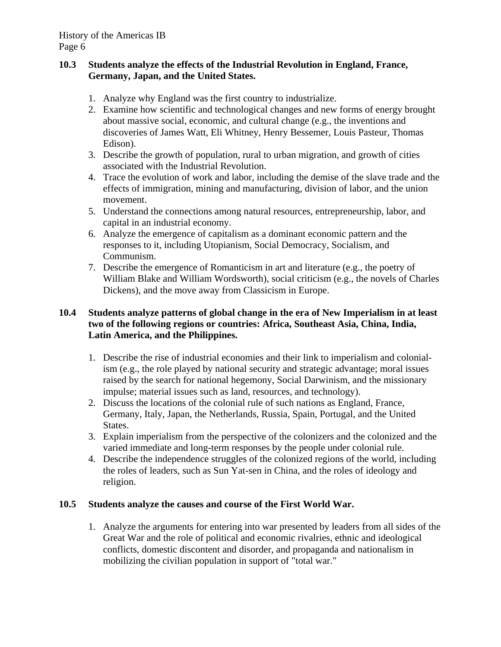### **10.3 Students analyze the effects of the Industrial Revolution in England, France, Germany, Japan, and the United States.**

- 1. Analyze why England was the first country to industrialize.
- 2. Examine how scientific and technological changes and new forms of energy brought about massive social, economic, and cultural change (e.g., the inventions and discoveries of James Watt, Eli Whitney, Henry Bessemer, Louis Pasteur, Thomas Edison).
- 3. Describe the growth of population, rural to urban migration, and growth of cities associated with the Industrial Revolution.
- 4. Trace the evolution of work and labor, including the demise of the slave trade and the effects of immigration, mining and manufacturing, division of labor, and the union movement.
- 5. Understand the connections among natural resources, entrepreneurship, labor, and capital in an industrial economy.
- 6. Analyze the emergence of capitalism as a dominant economic pattern and the responses to it, including Utopianism, Social Democracy, Socialism, and Communism.
- 7. Describe the emergence of Romanticism in art and literature (e.g., the poetry of William Blake and William Wordsworth), social criticism (e.g., the novels of Charles Dickens), and the move away from Classicism in Europe.

# **10.4 Students analyze patterns of global change in the era of New Imperialism in at least two of the following regions or countries: Africa, Southeast Asia, China, India, Latin America, and the Philippines.**

- 1. Describe the rise of industrial economies and their link to imperialism and colonialism (e.g., the role played by national security and strategic advantage; moral issues raised by the search for national hegemony, Social Darwinism, and the missionary impulse; material issues such as land, resources, and technology).
- 2. Discuss the locations of the colonial rule of such nations as England, France, Germany, Italy, Japan, the Netherlands, Russia, Spain, Portugal, and the United States.
- 3. Explain imperialism from the perspective of the colonizers and the colonized and the varied immediate and long-term responses by the people under colonial rule.
- 4. Describe the independence struggles of the colonized regions of the world, including the roles of leaders, such as Sun Yat-sen in China, and the roles of ideology and religion.

# **10.5 Students analyze the causes and course of the First World War.**

1. Analyze the arguments for entering into war presented by leaders from all sides of the Great War and the role of political and economic rivalries, ethnic and ideological conflicts, domestic discontent and disorder, and propaganda and nationalism in mobilizing the civilian population in support of "total war."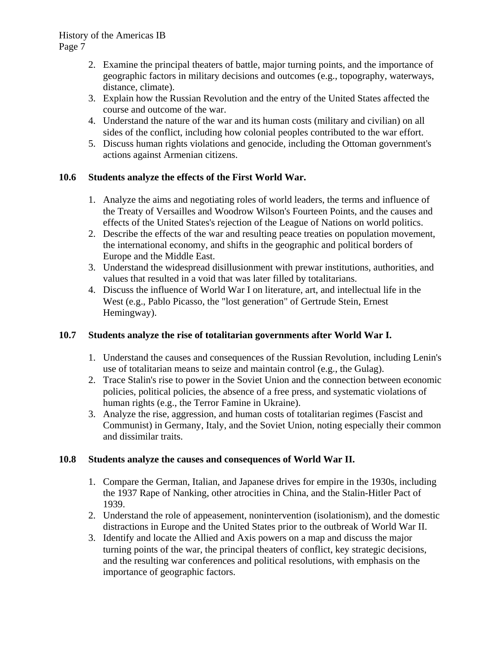- 2. Examine the principal theaters of battle, major turning points, and the importance of geographic factors in military decisions and outcomes (e.g., topography, waterways, distance, climate).
- 3. Explain how the Russian Revolution and the entry of the United States affected the course and outcome of the war.
- 4. Understand the nature of the war and its human costs (military and civilian) on all sides of the conflict, including how colonial peoples contributed to the war effort.
- 5. Discuss human rights violations and genocide, including the Ottoman government's actions against Armenian citizens.

# **10.6 Students analyze the effects of the First World War.**

- 1. Analyze the aims and negotiating roles of world leaders, the terms and influence of the Treaty of Versailles and Woodrow Wilson's Fourteen Points, and the causes and effects of the United States's rejection of the League of Nations on world politics.
- 2. Describe the effects of the war and resulting peace treaties on population movement, the international economy, and shifts in the geographic and political borders of Europe and the Middle East.
- 3. Understand the widespread disillusionment with prewar institutions, authorities, and values that resulted in a void that was later filled by totalitarians.
- 4. Discuss the influence of World War I on literature, art, and intellectual life in the West (e.g., Pablo Picasso, the "lost generation" of Gertrude Stein, Ernest Hemingway).

# **10.7 Students analyze the rise of totalitarian governments after World War I.**

- 1. Understand the causes and consequences of the Russian Revolution, including Lenin's use of totalitarian means to seize and maintain control (e.g., the Gulag).
- 2. Trace Stalin's rise to power in the Soviet Union and the connection between economic policies, political policies, the absence of a free press, and systematic violations of human rights (e.g., the Terror Famine in Ukraine).
- 3. Analyze the rise, aggression, and human costs of totalitarian regimes (Fascist and Communist) in Germany, Italy, and the Soviet Union, noting especially their common and dissimilar traits.

# **10.8 Students analyze the causes and consequences of World War II.**

- 1. Compare the German, Italian, and Japanese drives for empire in the 1930s, including the 1937 Rape of Nanking, other atrocities in China, and the Stalin-Hitler Pact of 1939.
- 2. Understand the role of appeasement, nonintervention (isolationism), and the domestic distractions in Europe and the United States prior to the outbreak of World War II.
- 3. Identify and locate the Allied and Axis powers on a map and discuss the major turning points of the war, the principal theaters of conflict, key strategic decisions, and the resulting war conferences and political resolutions, with emphasis on the importance of geographic factors.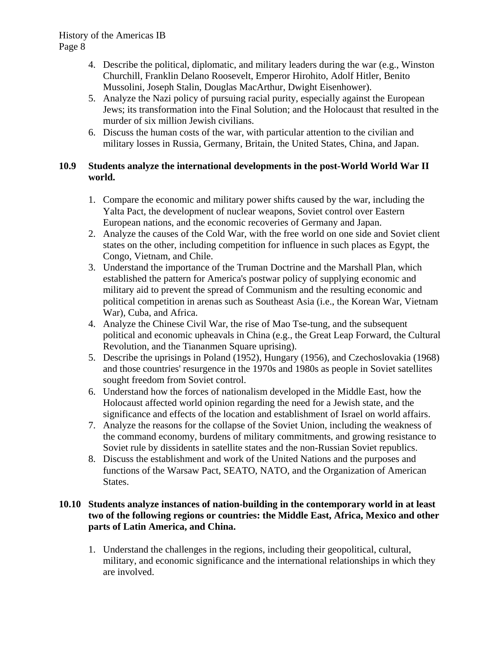- 4. Describe the political, diplomatic, and military leaders during the war (e.g., Winston Churchill, Franklin Delano Roosevelt, Emperor Hirohito, Adolf Hitler, Benito Mussolini, Joseph Stalin, Douglas MacArthur, Dwight Eisenhower).
- 5. Analyze the Nazi policy of pursuing racial purity, especially against the European Jews; its transformation into the Final Solution; and the Holocaust that resulted in the murder of six million Jewish civilians.
- 6. Discuss the human costs of the war, with particular attention to the civilian and military losses in Russia, Germany, Britain, the United States, China, and Japan.

# **10.9 Students analyze the international developments in the post-World World War II world.**

- 1. Compare the economic and military power shifts caused by the war, including the Yalta Pact, the development of nuclear weapons, Soviet control over Eastern European nations, and the economic recoveries of Germany and Japan.
- 2. Analyze the causes of the Cold War, with the free world on one side and Soviet client states on the other, including competition for influence in such places as Egypt, the Congo, Vietnam, and Chile.
- 3. Understand the importance of the Truman Doctrine and the Marshall Plan, which established the pattern for America's postwar policy of supplying economic and military aid to prevent the spread of Communism and the resulting economic and political competition in arenas such as Southeast Asia (i.e., the Korean War, Vietnam War), Cuba, and Africa.
- 4. Analyze the Chinese Civil War, the rise of Mao Tse-tung, and the subsequent political and economic upheavals in China (e.g., the Great Leap Forward, the Cultural Revolution, and the Tiananmen Square uprising).
- 5. Describe the uprisings in Poland (1952), Hungary (1956), and Czechoslovakia (1968) and those countries' resurgence in the 1970s and 1980s as people in Soviet satellites sought freedom from Soviet control.
- 6. Understand how the forces of nationalism developed in the Middle East, how the Holocaust affected world opinion regarding the need for a Jewish state, and the significance and effects of the location and establishment of Israel on world affairs.
- 7. Analyze the reasons for the collapse of the Soviet Union, including the weakness of the command economy, burdens of military commitments, and growing resistance to Soviet rule by dissidents in satellite states and the non-Russian Soviet republics.
- 8. Discuss the establishment and work of the United Nations and the purposes and functions of the Warsaw Pact, SEATO, NATO, and the Organization of American States.

# **10.10 Students analyze instances of nation-building in the contemporary world in at least two of the following regions or countries: the Middle East, Africa, Mexico and other parts of Latin America, and China.**

1. Understand the challenges in the regions, including their geopolitical, cultural, military, and economic significance and the international relationships in which they are involved.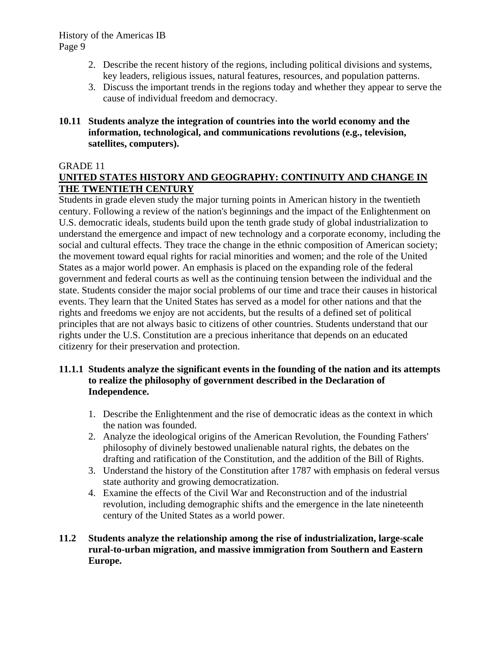- 2. Describe the recent history of the regions, including political divisions and systems, key leaders, religious issues, natural features, resources, and population patterns.
- 3. Discuss the important trends in the regions today and whether they appear to serve the cause of individual freedom and democracy.

# **10.11 Students analyze the integration of countries into the world economy and the information, technological, and communications revolutions (e.g., television, satellites, computers).**

### GRADE 11

# **UNITED STATES HISTORY AND GEOGRAPHY: CONTINUITY AND CHANGE IN THE TWENTIETH CENTURY**

Students in grade eleven study the major turning points in American history in the twentieth century. Following a review of the nation's beginnings and the impact of the Enlightenment on U.S. democratic ideals, students build upon the tenth grade study of global industrialization to understand the emergence and impact of new technology and a corporate economy, including the social and cultural effects. They trace the change in the ethnic composition of American society; the movement toward equal rights for racial minorities and women; and the role of the United States as a major world power. An emphasis is placed on the expanding role of the federal government and federal courts as well as the continuing tension between the individual and the state. Students consider the major social problems of our time and trace their causes in historical events. They learn that the United States has served as a model for other nations and that the rights and freedoms we enjoy are not accidents, but the results of a defined set of political principles that are not always basic to citizens of other countries. Students understand that our rights under the U.S. Constitution are a precious inheritance that depends on an educated citizenry for their preservation and protection.

### **11.1.1 Students analyze the significant events in the founding of the nation and its attempts to realize the philosophy of government described in the Declaration of Independence.**

- 1. Describe the Enlightenment and the rise of democratic ideas as the context in which the nation was founded.
- 2. Analyze the ideological origins of the American Revolution, the Founding Fathers' philosophy of divinely bestowed unalienable natural rights, the debates on the drafting and ratification of the Constitution, and the addition of the Bill of Rights.
- 3. Understand the history of the Constitution after 1787 with emphasis on federal versus state authority and growing democratization.
- 4. Examine the effects of the Civil War and Reconstruction and of the industrial revolution, including demographic shifts and the emergence in the late nineteenth century of the United States as a world power.

### **11.2 Students analyze the relationship among the rise of industrialization, large-scale rural-to-urban migration, and massive immigration from Southern and Eastern Europe.**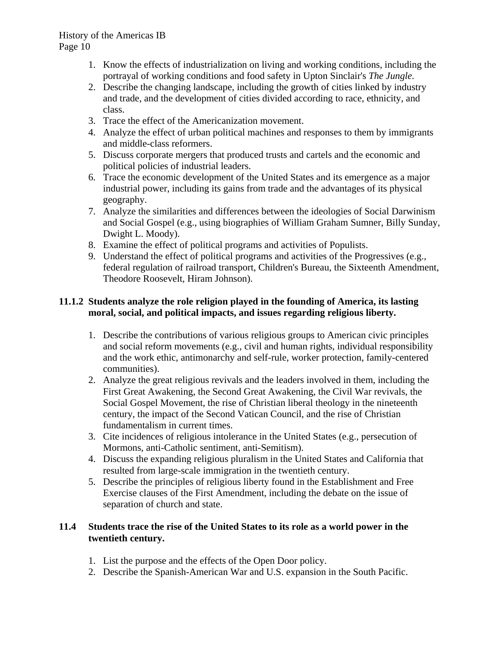- 1. Know the effects of industrialization on living and working conditions, including the portrayal of working conditions and food safety in Upton Sinclair's *The Jungle.*
- 2. Describe the changing landscape, including the growth of cities linked by industry and trade, and the development of cities divided according to race, ethnicity, and class.
- 3. Trace the effect of the Americanization movement.
- 4. Analyze the effect of urban political machines and responses to them by immigrants and middle-class reformers.
- 5. Discuss corporate mergers that produced trusts and cartels and the economic and political policies of industrial leaders.
- 6. Trace the economic development of the United States and its emergence as a major industrial power, including its gains from trade and the advantages of its physical geography.
- 7. Analyze the similarities and differences between the ideologies of Social Darwinism and Social Gospel (e.g., using biographies of William Graham Sumner, Billy Sunday, Dwight L. Moody).
- 8. Examine the effect of political programs and activities of Populists.
- 9. Understand the effect of political programs and activities of the Progressives (e.g., federal regulation of railroad transport, Children's Bureau, the Sixteenth Amendment, Theodore Roosevelt, Hiram Johnson).

# **11.1.2 Students analyze the role religion played in the founding of America, its lasting moral, social, and political impacts, and issues regarding religious liberty.**

- 1. Describe the contributions of various religious groups to American civic principles and social reform movements (e.g., civil and human rights, individual responsibility and the work ethic, antimonarchy and self-rule, worker protection, family-centered communities).
- 2. Analyze the great religious revivals and the leaders involved in them, including the First Great Awakening, the Second Great Awakening, the Civil War revivals, the Social Gospel Movement, the rise of Christian liberal theology in the nineteenth century, the impact of the Second Vatican Council, and the rise of Christian fundamentalism in current times.
- 3. Cite incidences of religious intolerance in the United States (e.g., persecution of Mormons, anti-Catholic sentiment, anti-Semitism).
- 4. Discuss the expanding religious pluralism in the United States and California that resulted from large-scale immigration in the twentieth century.
- 5. Describe the principles of religious liberty found in the Establishment and Free Exercise clauses of the First Amendment, including the debate on the issue of separation of church and state.

# **11.4 Students trace the rise of the United States to its role as a world power in the twentieth century.**

- 1. List the purpose and the effects of the Open Door policy.
- 2. Describe the Spanish-American War and U.S. expansion in the South Pacific.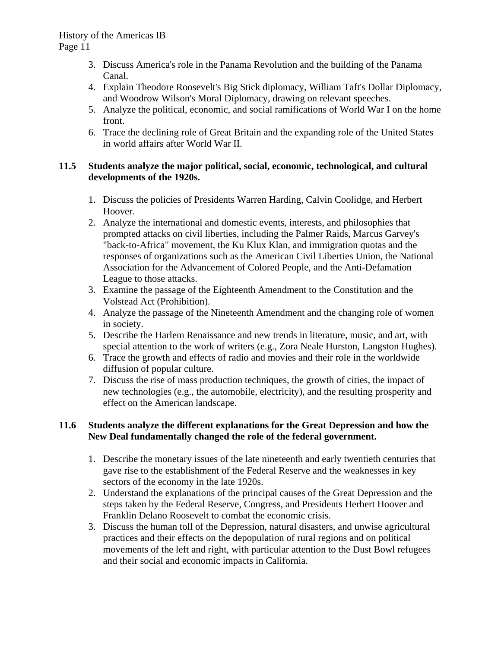- 3. Discuss America's role in the Panama Revolution and the building of the Panama Canal.
- 4. Explain Theodore Roosevelt's Big Stick diplomacy, William Taft's Dollar Diplomacy, and Woodrow Wilson's Moral Diplomacy, drawing on relevant speeches.
- 5. Analyze the political, economic, and social ramifications of World War I on the home front.
- 6. Trace the declining role of Great Britain and the expanding role of the United States in world affairs after World War II.

# **11.5 Students analyze the major political, social, economic, technological, and cultural developments of the 1920s.**

- 1. Discuss the policies of Presidents Warren Harding, Calvin Coolidge, and Herbert Hoover.
- 2. Analyze the international and domestic events, interests, and philosophies that prompted attacks on civil liberties, including the Palmer Raids, Marcus Garvey's "back-to-Africa" movement, the Ku Klux Klan, and immigration quotas and the responses of organizations such as the American Civil Liberties Union, the National Association for the Advancement of Colored People, and the Anti-Defamation League to those attacks.
- 3. Examine the passage of the Eighteenth Amendment to the Constitution and the Volstead Act (Prohibition).
- 4. Analyze the passage of the Nineteenth Amendment and the changing role of women in society.
- 5. Describe the Harlem Renaissance and new trends in literature, music, and art, with special attention to the work of writers (e.g., Zora Neale Hurston, Langston Hughes).
- 6. Trace the growth and effects of radio and movies and their role in the worldwide diffusion of popular culture.
- 7. Discuss the rise of mass production techniques, the growth of cities, the impact of new technologies (e.g., the automobile, electricity), and the resulting prosperity and effect on the American landscape.

# **11.6 Students analyze the different explanations for the Great Depression and how the New Deal fundamentally changed the role of the federal government.**

- 1. Describe the monetary issues of the late nineteenth and early twentieth centuries that gave rise to the establishment of the Federal Reserve and the weaknesses in key sectors of the economy in the late 1920s.
- 2. Understand the explanations of the principal causes of the Great Depression and the steps taken by the Federal Reserve, Congress, and Presidents Herbert Hoover and Franklin Delano Roosevelt to combat the economic crisis.
- 3. Discuss the human toll of the Depression, natural disasters, and unwise agricultural practices and their effects on the depopulation of rural regions and on political movements of the left and right, with particular attention to the Dust Bowl refugees and their social and economic impacts in California.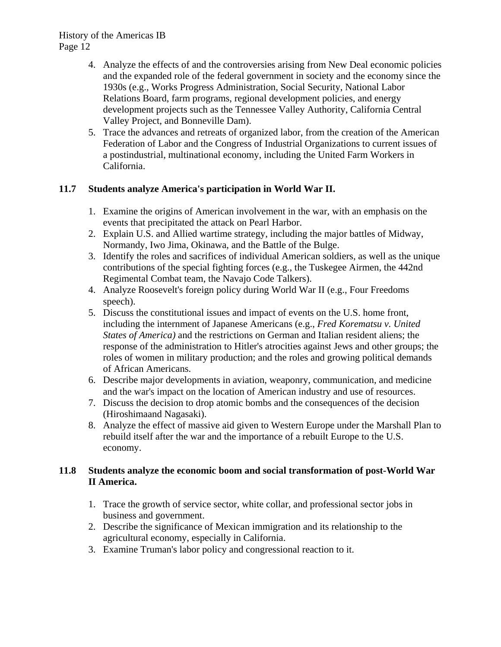- 4. Analyze the effects of and the controversies arising from New Deal economic policies and the expanded role of the federal government in society and the economy since the 1930s (e.g., Works Progress Administration, Social Security, National Labor Relations Board, farm programs, regional development policies, and energy development projects such as the Tennessee Valley Authority, California Central Valley Project, and Bonneville Dam).
- 5. Trace the advances and retreats of organized labor, from the creation of the American Federation of Labor and the Congress of Industrial Organizations to current issues of a postindustrial, multinational economy, including the United Farm Workers in California.

# **11.7 Students analyze America's participation in World War II.**

- 1. Examine the origins of American involvement in the war, with an emphasis on the events that precipitated the attack on Pearl Harbor.
- 2. Explain U.S. and Allied wartime strategy, including the major battles of Midway, Normandy, Iwo Jima, Okinawa, and the Battle of the Bulge.
- 3. Identify the roles and sacrifices of individual American soldiers, as well as the unique contributions of the special fighting forces (e.g., the Tuskegee Airmen, the 442nd Regimental Combat team, the Navajo Code Talkers).
- 4. Analyze Roosevelt's foreign policy during World War II (e.g., Four Freedoms speech).
- 5. Discuss the constitutional issues and impact of events on the U.S. home front, including the internment of Japanese Americans (e.g., *Fred Korematsu v. United States of America)* and the restrictions on German and Italian resident aliens; the response of the administration to Hitler's atrocities against Jews and other groups; the roles of women in military production; and the roles and growing political demands of African Americans.
- 6. Describe major developments in aviation, weaponry, communication, and medicine and the war's impact on the location of American industry and use of resources.
- 7. Discuss the decision to drop atomic bombs and the consequences of the decision (Hiroshimaand Nagasaki).
- 8. Analyze the effect of massive aid given to Western Europe under the Marshall Plan to rebuild itself after the war and the importance of a rebuilt Europe to the U.S. economy.

# **11.8 Students analyze the economic boom and social transformation of post-World War II America.**

- 1. Trace the growth of service sector, white collar, and professional sector jobs in business and government.
- 2. Describe the significance of Mexican immigration and its relationship to the agricultural economy, especially in California.
- 3. Examine Truman's labor policy and congressional reaction to it.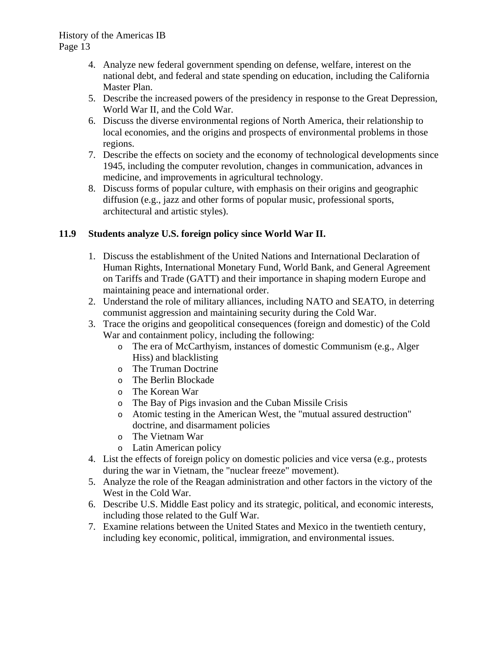- 4. Analyze new federal government spending on defense, welfare, interest on the national debt, and federal and state spending on education, including the California Master Plan.
- 5. Describe the increased powers of the presidency in response to the Great Depression, World War II, and the Cold War.
- 6. Discuss the diverse environmental regions of North America, their relationship to local economies, and the origins and prospects of environmental problems in those regions.
- 7. Describe the effects on society and the economy of technological developments since 1945, including the computer revolution, changes in communication, advances in medicine, and improvements in agricultural technology.
- 8. Discuss forms of popular culture, with emphasis on their origins and geographic diffusion (e.g., jazz and other forms of popular music, professional sports, architectural and artistic styles).

# **11.9 Students analyze U.S. foreign policy since World War II.**

- 1. Discuss the establishment of the United Nations and International Declaration of Human Rights, International Monetary Fund, World Bank, and General Agreement on Tariffs and Trade (GATT) and their importance in shaping modern Europe and maintaining peace and international order.
- 2. Understand the role of military alliances, including NATO and SEATO, in deterring communist aggression and maintaining security during the Cold War.
- 3. Trace the origins and geopolitical consequences (foreign and domestic) of the Cold War and containment policy, including the following:
	- o The era of McCarthyism, instances of domestic Communism (e.g., Alger Hiss) and blacklisting
	- o The Truman Doctrine
	- o The Berlin Blockade
	- o The Korean War
	- o The Bay of Pigs invasion and the Cuban Missile Crisis
	- o Atomic testing in the American West, the "mutual assured destruction" doctrine, and disarmament policies
	- o The Vietnam War
	- o Latin American policy
- 4. List the effects of foreign policy on domestic policies and vice versa (e.g., protests during the war in Vietnam, the "nuclear freeze" movement).
- 5. Analyze the role of the Reagan administration and other factors in the victory of the West in the Cold War.
- 6. Describe U.S. Middle East policy and its strategic, political, and economic interests, including those related to the Gulf War.
- 7. Examine relations between the United States and Mexico in the twentieth century, including key economic, political, immigration, and environmental issues.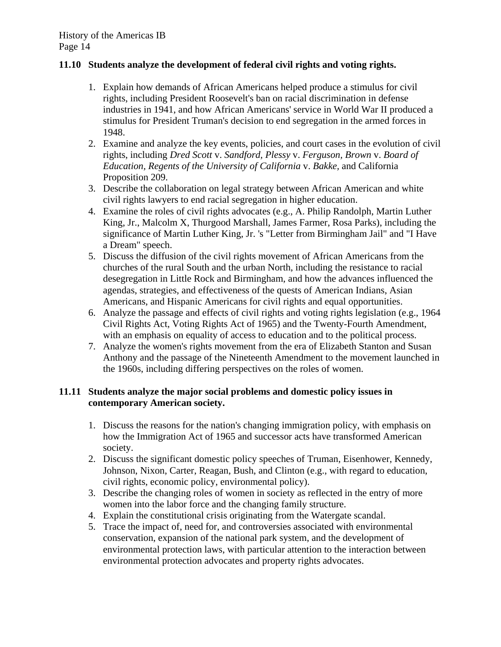### **11.10 Students analyze the development of federal civil rights and voting rights.**

- 1. Explain how demands of African Americans helped produce a stimulus for civil rights, including President Roosevelt's ban on racial discrimination in defense industries in 1941, and how African Americans' service in World War II produced a stimulus for President Truman's decision to end segregation in the armed forces in 1948.
- 2. Examine and analyze the key events, policies, and court cases in the evolution of civil rights, including *Dred Scott* v. *Sandford, Plessy* v. *Ferguson, Brown* v. *Board of Education, Regents of the University of California* v. *Bakke,* and California Proposition 209.
- 3. Describe the collaboration on legal strategy between African American and white civil rights lawyers to end racial segregation in higher education.
- 4. Examine the roles of civil rights advocates (e.g., A. Philip Randolph, Martin Luther King, Jr., Malcolm X, Thurgood Marshall, James Farmer, Rosa Parks), including the significance of Martin Luther King, Jr. 's "Letter from Birmingham Jail" and "I Have a Dream" speech.
- 5. Discuss the diffusion of the civil rights movement of African Americans from the churches of the rural South and the urban North, including the resistance to racial desegregation in Little Rock and Birmingham, and how the advances influenced the agendas, strategies, and effectiveness of the quests of American Indians, Asian Americans, and Hispanic Americans for civil rights and equal opportunities.
- 6. Analyze the passage and effects of civil rights and voting rights legislation (e.g., 1964 Civil Rights Act, Voting Rights Act of 1965) and the Twenty-Fourth Amendment, with an emphasis on equality of access to education and to the political process.
- 7. Analyze the women's rights movement from the era of Elizabeth Stanton and Susan Anthony and the passage of the Nineteenth Amendment to the movement launched in the 1960s, including differing perspectives on the roles of women.

### **11.11 Students analyze the major social problems and domestic policy issues in contemporary American society.**

- 1. Discuss the reasons for the nation's changing immigration policy, with emphasis on how the Immigration Act of 1965 and successor acts have transformed American society.
- 2. Discuss the significant domestic policy speeches of Truman, Eisenhower, Kennedy, Johnson, Nixon, Carter, Reagan, Bush, and Clinton (e.g., with regard to education, civil rights, economic policy, environmental policy).
- 3. Describe the changing roles of women in society as reflected in the entry of more women into the labor force and the changing family structure.
- 4. Explain the constitutional crisis originating from the Watergate scandal.
- 5. Trace the impact of, need for, and controversies associated with environmental conservation, expansion of the national park system, and the development of environmental protection laws, with particular attention to the interaction between environmental protection advocates and property rights advocates.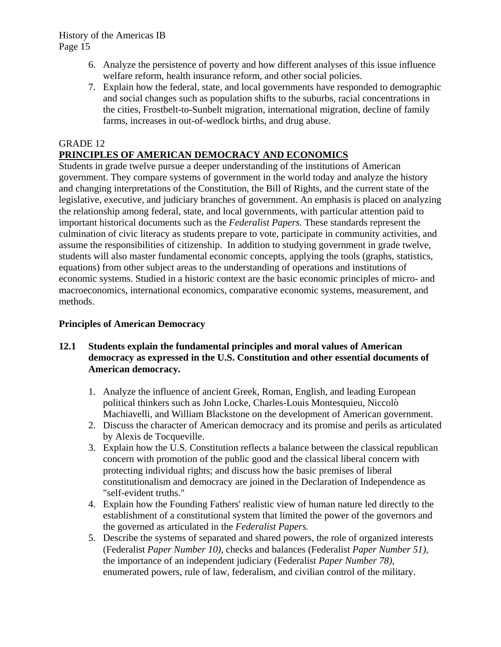- 6. Analyze the persistence of poverty and how different analyses of this issue influence welfare reform, health insurance reform, and other social policies.
- 7. Explain how the federal, state, and local governments have responded to demographic and social changes such as population shifts to the suburbs, racial concentrations in the cities, Frostbelt-to-Sunbelt migration, international migration, decline of family farms, increases in out-of-wedlock births, and drug abuse.

# GRADE 12 **PRINCIPLES OF AMERICAN DEMOCRACY AND ECONOMICS**

Students in grade twelve pursue a deeper understanding of the institutions of American government. They compare systems of government in the world today and analyze the history and changing interpretations of the Constitution, the Bill of Rights, and the current state of the legislative, executive, and judiciary branches of government. An emphasis is placed on analyzing the relationship among federal, state, and local governments, with particular attention paid to important historical documents such as the *Federalist Papers.* These standards represent the culmination of civic literacy as students prepare to vote, participate in community activities, and assume the responsibilities of citizenship. In addition to studying government in grade twelve, students will also master fundamental economic concepts, applying the tools (graphs, statistics, equations) from other subject areas to the understanding of operations and institutions of economic systems. Studied in a historic context are the basic economic principles of micro- and macroeconomics, international economics, comparative economic systems, measurement, and methods.

# **Principles of American Democracy**

# **12.1 Students explain the fundamental principles and moral values of American democracy as expressed in the U.S. Constitution and other essential documents of American democracy.**

- 1. Analyze the influence of ancient Greek, Roman, English, and leading European political thinkers such as John Locke, Charles-Louis Montesquieu, Niccolò Machiavelli, and William Blackstone on the development of American government.
- 2. Discuss the character of American democracy and its promise and perils as articulated by Alexis de Tocqueville.
- 3. Explain how the U.S. Constitution reflects a balance between the classical republican concern with promotion of the public good and the classical liberal concern with protecting individual rights; and discuss how the basic premises of liberal constitutionalism and democracy are joined in the Declaration of Independence as "self-evident truths."
- 4. Explain how the Founding Fathers' realistic view of human nature led directly to the establishment of a constitutional system that limited the power of the governors and the governed as articulated in the *Federalist Papers.*
- 5. Describe the systems of separated and shared powers, the role of organized interests (Federalist *Paper Number 10),* checks and balances (Federalist *Paper Number 51),*  the importance of an independent judiciary (Federalist *Paper Number 78),*  enumerated powers, rule of law, federalism, and civilian control of the military.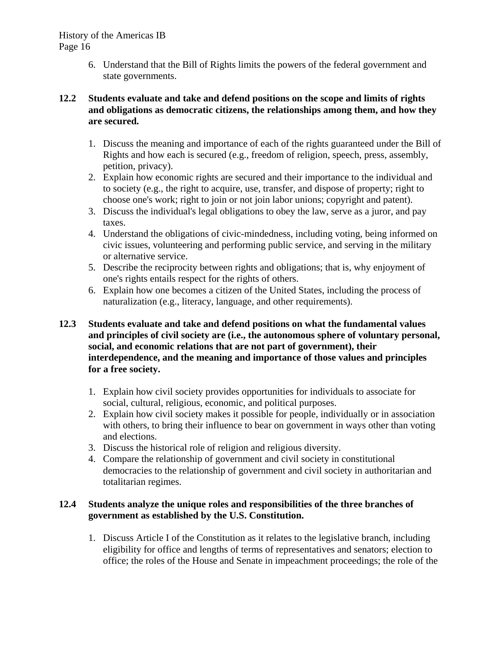6. Understand that the Bill of Rights limits the powers of the federal government and state governments.

# **12.2 Students evaluate and take and defend positions on the scope and limits of rights and obligations as democratic citizens, the relationships among them, and how they are secured.**

- 1. Discuss the meaning and importance of each of the rights guaranteed under the Bill of Rights and how each is secured (e.g., freedom of religion, speech, press, assembly, petition, privacy).
- 2. Explain how economic rights are secured and their importance to the individual and to society (e.g., the right to acquire, use, transfer, and dispose of property; right to choose one's work; right to join or not join labor unions; copyright and patent).
- 3. Discuss the individual's legal obligations to obey the law, serve as a juror, and pay taxes.
- 4. Understand the obligations of civic-mindedness, including voting, being informed on civic issues, volunteering and performing public service, and serving in the military or alternative service.
- 5. Describe the reciprocity between rights and obligations; that is, why enjoyment of one's rights entails respect for the rights of others.
- 6. Explain how one becomes a citizen of the United States, including the process of naturalization (e.g., literacy, language, and other requirements).
- **12.3 Students evaluate and take and defend positions on what the fundamental values and principles of civil society are (i.e., the autonomous sphere of voluntary personal, social, and economic relations that are not part of government), their interdependence, and the meaning and importance of those values and principles for a free society.** 
	- 1. Explain how civil society provides opportunities for individuals to associate for social, cultural, religious, economic, and political purposes.
	- 2. Explain how civil society makes it possible for people, individually or in association with others, to bring their influence to bear on government in ways other than voting and elections.
	- 3. Discuss the historical role of religion and religious diversity.
	- 4. Compare the relationship of government and civil society in constitutional democracies to the relationship of government and civil society in authoritarian and totalitarian regimes.

# **12.4 Students analyze the unique roles and responsibilities of the three branches of government as established by the U.S. Constitution.**

1. Discuss Article I of the Constitution as it relates to the legislative branch, including eligibility for office and lengths of terms of representatives and senators; election to office; the roles of the House and Senate in impeachment proceedings; the role of the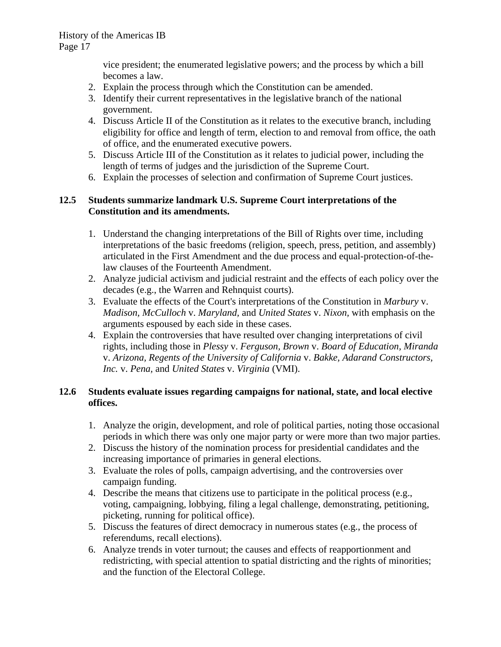vice president; the enumerated legislative powers; and the process by which a bill becomes a law.

- 2. Explain the process through which the Constitution can be amended.
- 3. Identify their current representatives in the legislative branch of the national government.
- 4. Discuss Article II of the Constitution as it relates to the executive branch, including eligibility for office and length of term, election to and removal from office, the oath of office, and the enumerated executive powers.
- 5. Discuss Article III of the Constitution as it relates to judicial power, including the length of terms of judges and the jurisdiction of the Supreme Court.
- 6. Explain the processes of selection and confirmation of Supreme Court justices.

# **12.5 Students summarize landmark U.S. Supreme Court interpretations of the Constitution and its amendments.**

- 1. Understand the changing interpretations of the Bill of Rights over time, including interpretations of the basic freedoms (religion, speech, press, petition, and assembly) articulated in the First Amendment and the due process and equal-protection-of-thelaw clauses of the Fourteenth Amendment.
- 2. Analyze judicial activism and judicial restraint and the effects of each policy over the decades (e.g., the Warren and Rehnquist courts).
- 3. Evaluate the effects of the Court's interpretations of the Constitution in *Marbury* v. *Madison, McCulloch* v. *Maryland,* and *United States* v. *Nixon,* with emphasis on the arguments espoused by each side in these cases.
- 4. Explain the controversies that have resulted over changing interpretations of civil rights, including those in *Plessy* v. *Ferguson, Brown* v. *Board of Education, Miranda*  v. *Arizona, Regents of the University of California* v. *Bakke, Adarand Constructors, Inc.* v. *Pena,* and *United States* v. *Virginia* (VMI).

# **12.6 Students evaluate issues regarding campaigns for national, state, and local elective offices.**

- 1. Analyze the origin, development, and role of political parties, noting those occasional periods in which there was only one major party or were more than two major parties.
- 2. Discuss the history of the nomination process for presidential candidates and the increasing importance of primaries in general elections.
- 3. Evaluate the roles of polls, campaign advertising, and the controversies over campaign funding.
- 4. Describe the means that citizens use to participate in the political process (e.g., voting, campaigning, lobbying, filing a legal challenge, demonstrating, petitioning, picketing, running for political office).
- 5. Discuss the features of direct democracy in numerous states (e.g., the process of referendums, recall elections).
- 6. Analyze trends in voter turnout; the causes and effects of reapportionment and redistricting, with special attention to spatial districting and the rights of minorities; and the function of the Electoral College.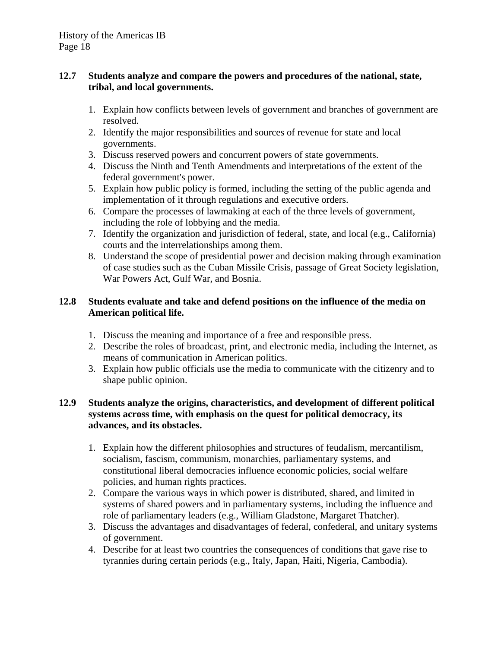# **12.7 Students analyze and compare the powers and procedures of the national, state, tribal, and local governments.**

- 1. Explain how conflicts between levels of government and branches of government are resolved.
- 2. Identify the major responsibilities and sources of revenue for state and local governments.
- 3. Discuss reserved powers and concurrent powers of state governments.
- 4. Discuss the Ninth and Tenth Amendments and interpretations of the extent of the federal government's power.
- 5. Explain how public policy is formed, including the setting of the public agenda and implementation of it through regulations and executive orders.
- 6. Compare the processes of lawmaking at each of the three levels of government, including the role of lobbying and the media.
- 7. Identify the organization and jurisdiction of federal, state, and local (e.g., California) courts and the interrelationships among them.
- 8. Understand the scope of presidential power and decision making through examination of case studies such as the Cuban Missile Crisis, passage of Great Society legislation, War Powers Act, Gulf War, and Bosnia.

# **12.8 Students evaluate and take and defend positions on the influence of the media on American political life.**

- 1. Discuss the meaning and importance of a free and responsible press.
- 2. Describe the roles of broadcast, print, and electronic media, including the Internet, as means of communication in American politics.
- 3. Explain how public officials use the media to communicate with the citizenry and to shape public opinion.

# **12.9 Students analyze the origins, characteristics, and development of different political systems across time, with emphasis on the quest for political democracy, its advances, and its obstacles.**

- 1. Explain how the different philosophies and structures of feudalism, mercantilism, socialism, fascism, communism, monarchies, parliamentary systems, and constitutional liberal democracies influence economic policies, social welfare policies, and human rights practices.
- 2. Compare the various ways in which power is distributed, shared, and limited in systems of shared powers and in parliamentary systems, including the influence and role of parliamentary leaders (e.g., William Gladstone, Margaret Thatcher).
- 3. Discuss the advantages and disadvantages of federal, confederal, and unitary systems of government.
- 4. Describe for at least two countries the consequences of conditions that gave rise to tyrannies during certain periods (e.g., Italy, Japan, Haiti, Nigeria, Cambodia).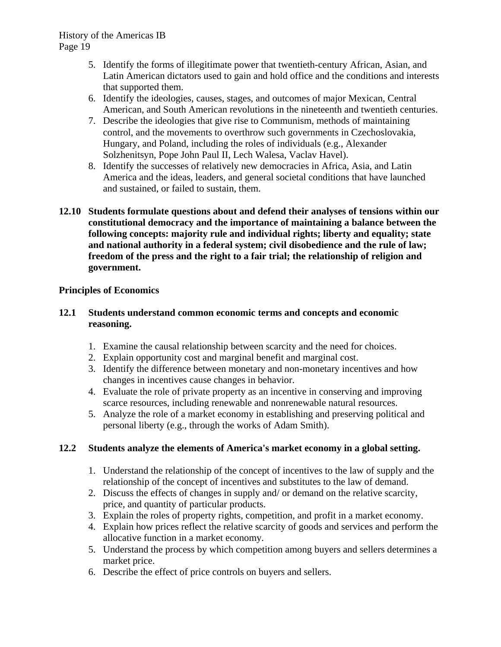- 5. Identify the forms of illegitimate power that twentieth-century African, Asian, and Latin American dictators used to gain and hold office and the conditions and interests that supported them.
- 6. Identify the ideologies, causes, stages, and outcomes of major Mexican, Central American, and South American revolutions in the nineteenth and twentieth centuries.
- 7. Describe the ideologies that give rise to Communism, methods of maintaining control, and the movements to overthrow such governments in Czechoslovakia, Hungary, and Poland, including the roles of individuals (e.g., Alexander Solzhenitsyn, Pope John Paul II, Lech Walesa, Vaclav Havel).
- 8. Identify the successes of relatively new democracies in Africa, Asia, and Latin America and the ideas, leaders, and general societal conditions that have launched and sustained, or failed to sustain, them.
- **12.10 Students formulate questions about and defend their analyses of tensions within our constitutional democracy and the importance of maintaining a balance between the following concepts: majority rule and individual rights; liberty and equality; state and national authority in a federal system; civil disobedience and the rule of law; freedom of the press and the right to a fair trial; the relationship of religion and government.**

# **Principles of Economics**

# **12.1 Students understand common economic terms and concepts and economic reasoning.**

- 1. Examine the causal relationship between scarcity and the need for choices.
- 2. Explain opportunity cost and marginal benefit and marginal cost.
- 3. Identify the difference between monetary and non-monetary incentives and how changes in incentives cause changes in behavior.
- 4. Evaluate the role of private property as an incentive in conserving and improving scarce resources, including renewable and nonrenewable natural resources.
- 5. Analyze the role of a market economy in establishing and preserving political and personal liberty (e.g., through the works of Adam Smith).

# **12.2 Students analyze the elements of America's market economy in a global setting.**

- 1. Understand the relationship of the concept of incentives to the law of supply and the relationship of the concept of incentives and substitutes to the law of demand.
- 2. Discuss the effects of changes in supply and/ or demand on the relative scarcity, price, and quantity of particular products.
- 3. Explain the roles of property rights, competition, and profit in a market economy.
- 4. Explain how prices reflect the relative scarcity of goods and services and perform the allocative function in a market economy.
- 5. Understand the process by which competition among buyers and sellers determines a market price.
- 6. Describe the effect of price controls on buyers and sellers.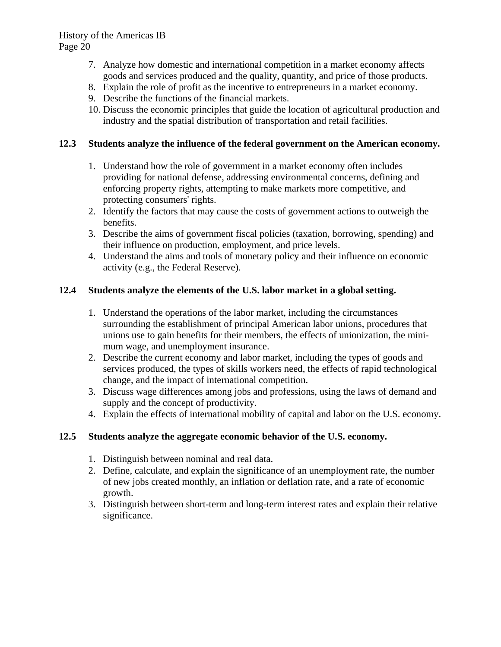- 7. Analyze how domestic and international competition in a market economy affects goods and services produced and the quality, quantity, and price of those products.
- 8. Explain the role of profit as the incentive to entrepreneurs in a market economy.
- 9. Describe the functions of the financial markets.
- 10. Discuss the economic principles that guide the location of agricultural production and industry and the spatial distribution of transportation and retail facilities.

# **12.3 Students analyze the influence of the federal government on the American economy.**

- 1. Understand how the role of government in a market economy often includes providing for national defense, addressing environmental concerns, defining and enforcing property rights, attempting to make markets more competitive, and protecting consumers' rights.
- 2. Identify the factors that may cause the costs of government actions to outweigh the benefits.
- 3. Describe the aims of government fiscal policies (taxation, borrowing, spending) and their influence on production, employment, and price levels.
- 4. Understand the aims and tools of monetary policy and their influence on economic activity (e.g., the Federal Reserve).

# **12.4 Students analyze the elements of the U.S. labor market in a global setting.**

- 1. Understand the operations of the labor market, including the circumstances surrounding the establishment of principal American labor unions, procedures that unions use to gain benefits for their members, the effects of unionization, the minimum wage, and unemployment insurance.
- 2. Describe the current economy and labor market, including the types of goods and services produced, the types of skills workers need, the effects of rapid technological change, and the impact of international competition.
- 3. Discuss wage differences among jobs and professions, using the laws of demand and supply and the concept of productivity.
- 4. Explain the effects of international mobility of capital and labor on the U.S. economy.

# **12.5 Students analyze the aggregate economic behavior of the U.S. economy.**

- 1. Distinguish between nominal and real data.
- 2. Define, calculate, and explain the significance of an unemployment rate, the number of new jobs created monthly, an inflation or deflation rate, and a rate of economic growth.
- 3. Distinguish between short-term and long-term interest rates and explain their relative significance.